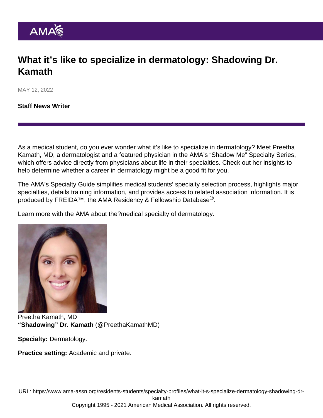## What it's like to specialize in dermatology: Shadowing Dr. Kamath

MAY 12, 2022

[Staff News Writer](https://www.ama-assn.org/news-leadership-viewpoints/authors-news-leadership-viewpoints/staff-news-writer)

As a medical student, do you ever wonder what it's like to specialize in dermatology? Meet Preetha Kamath, MD, a dermatologist and a featured physician in the AMA's ["Shadow Me" Specialty Series,](https://www.ama-assn.org/series/shadow-me-specialty-series) which offers advice directly from physicians about life in their specialties. Check out her insights to help determine whether a career in dermatology might be a good fit for you.

The AMA's [Specialty Guide](https://www.ama-assn.org/specialty) simplifies medical students' specialty selection process, highlights major specialties, details training information, and provides access to related association information. It is produced by [FREIDA](https://freida.ama-assn.org/Freida/#/)™, the AMA Residency & Fellowship Database<sup>®</sup>.

Learn more with the AMA about the[?medical specialty of dermatology.](https://freida.ama-assn.org/specialty/dermatology)

Preetha Kamath, MD "Shadowing" Dr. Kamath ([@PreethaKamathMD\)](https://twitter.com/PreethaKamathMD)

Specialty: Dermatology.

Practice setting: Academic and private.

URL: [https://www.ama-assn.org/residents-students/specialty-profiles/what-it-s-specialize-dermatology-shadowing-dr](https://www.ama-assn.org/residents-students/specialty-profiles/what-it-s-specialize-dermatology-shadowing-dr-kamath)[kamath](https://www.ama-assn.org/residents-students/specialty-profiles/what-it-s-specialize-dermatology-shadowing-dr-kamath)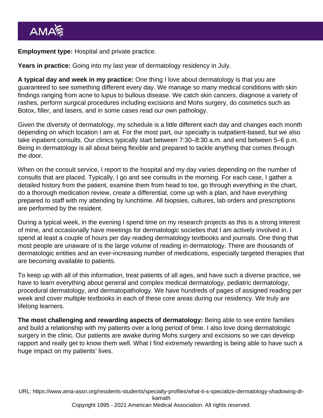Employment type: Hospital and private practice.

Years in practice: Going into my last year of dermatology residency in July.

A typical day and week in my practice: One thing I love about dermatology is that you are guaranteed to see something different every day. We manage so many medical conditions with skin findings ranging from acne to lupus to bullous disease. We catch skin cancers, diagnose a variety of rashes, perform surgical procedures including excisions and Mohs surgery, do cosmetics such as Botox, filler, and lasers, and in some cases read our own pathology.

Given the diversity of dermatology, my schedule is a little different each day and changes each month depending on which location I am at. For the most part, our specialty is outpatient-based, but we also take inpatient consults. Our clinics typically start between 7:30–8:30 a.m. and end between 5–6 p.m. Being in dermatology is all about being flexible and prepared to tackle anything that comes through the door.

When on the consult service, I report to the hospital and my day varies depending on the number of consults that are placed. Typically, I go and see consults in the morning. For each case, I gather a detailed history from the patient, examine them from head to toe, go through everything in the chart, do a thorough medication review, create a differential, come up with a plan, and have everything prepared to staff with my attending by lunchtime. All biopsies, cultures, lab orders and prescriptions are performed by the resident.

During a typical week, in the evening I spend time on my research projects as this is a strong interest of mine, and occasionally have meetings for dermatologic societies that I am actively involved in. I spend at least a couple of hours per day reading dermatology textbooks and journals. One thing that most people are unaware of is the large volume of reading in dermatology. There are thousands of dermatologic entities and an ever-increasing number of medications, especially targeted therapies that are becoming available to patients.

To keep up with all of this information, treat patients of all ages, and have such a diverse practice, we have to learn everything about general and complex medical dermatology, pediatric dermatology, procedural dermatology, and dermatopathology. We have hundreds of pages of assigned reading per week and cover multiple textbooks in each of these core areas during our residency. We truly are lifelong learners.

The most challenging and rewarding aspects of dermatology: Being able to see entire families and build a relationship with my patients over a long period of time. I also love doing dermatologic surgery in the clinic. Our patients are awake during Mohs surgery and excisions so we can develop rapport and really get to know them well. What I find extremely rewarding is being able to have such a huge impact on my patients' lives.

URL: [https://www.ama-assn.org/residents-students/specialty-profiles/what-it-s-specialize-dermatology-shadowing-dr](https://www.ama-assn.org/residents-students/specialty-profiles/what-it-s-specialize-dermatology-shadowing-dr-kamath)[kamath](https://www.ama-assn.org/residents-students/specialty-profiles/what-it-s-specialize-dermatology-shadowing-dr-kamath) Copyright 1995 - 2021 American Medical Association. All rights reserved.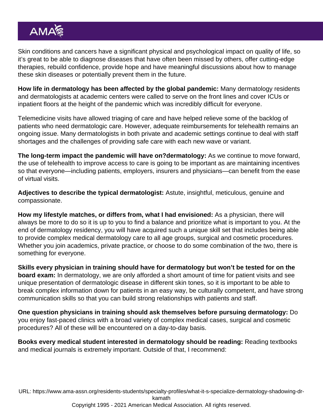Skin conditions and cancers have a significant physical and psychological impact on quality of life, so it's great to be able to diagnose diseases that have often been missed by others, offer cutting-edge therapies, rebuild confidence, provide hope and have meaningful discussions about how to manage these skin diseases or potentially prevent them in the future.

How life in dermatology has been affected by the global pandemic: Many dermatology residents and dermatologists at academic centers were called to serve on the front lines and cover ICUs or inpatient floors at the height of the pandemic which was incredibly difficult for everyone.

Telemedicine visits have allowed triaging of care and have helped relieve some of the backlog of patients who need dermatologic care. However, adequate reimbursements for telehealth remains an ongoing issue. Many dermatologists in both private and academic settings continue to deal with staff shortages and the challenges of providing safe care with each new wave or variant.

The long-term impact the pandemic will have on?dermatology: As we continue to move forward, the use of telehealth to improve access to care is going to be important as are maintaining incentives so that everyone—including patients, employers, insurers and physicians—can benefit from the ease of virtual visits.

Adjectives to describe the typical dermatologist: Astute, insightful, meticulous, genuine and compassionate.

How my lifestyle matches, or differs from, what I had envisioned: As a physician, there will always be more to do so it is up to you to find a balance and prioritize what is important to you. At the end of dermatology residency, you will have acquired such a unique skill set that includes being able to provide complex medical dermatology care to all age groups, surgical and cosmetic procedures. Whether you join academics, private practice, or choose to do some combination of the two, there is something for everyone.

Skills every physician in training should have for dermatology but won't be tested for on the board exam: In dermatology, we are only afforded a short amount of time for patient visits and see unique presentation of dermatologic disease in different skin tones, so it is important to be able to break complex information down for patients in an easy way, be culturally competent, and have strong communication skills so that you can build strong relationships with patients and staff.

One question physicians in training should ask themselves before pursuing dermatology: Do you enjoy fast-paced clinics with a broad variety of complex medical cases, surgical and cosmetic procedures? All of these will be encountered on a day-to-day basis.

Books every medical student interested in dermatology should be reading: Reading textbooks and medical journals is extremely important. Outside of that, I recommend:

URL: [https://www.ama-assn.org/residents-students/specialty-profiles/what-it-s-specialize-dermatology-shadowing-dr](https://www.ama-assn.org/residents-students/specialty-profiles/what-it-s-specialize-dermatology-shadowing-dr-kamath)[kamath](https://www.ama-assn.org/residents-students/specialty-profiles/what-it-s-specialize-dermatology-shadowing-dr-kamath) Copyright 1995 - 2021 American Medical Association. All rights reserved.